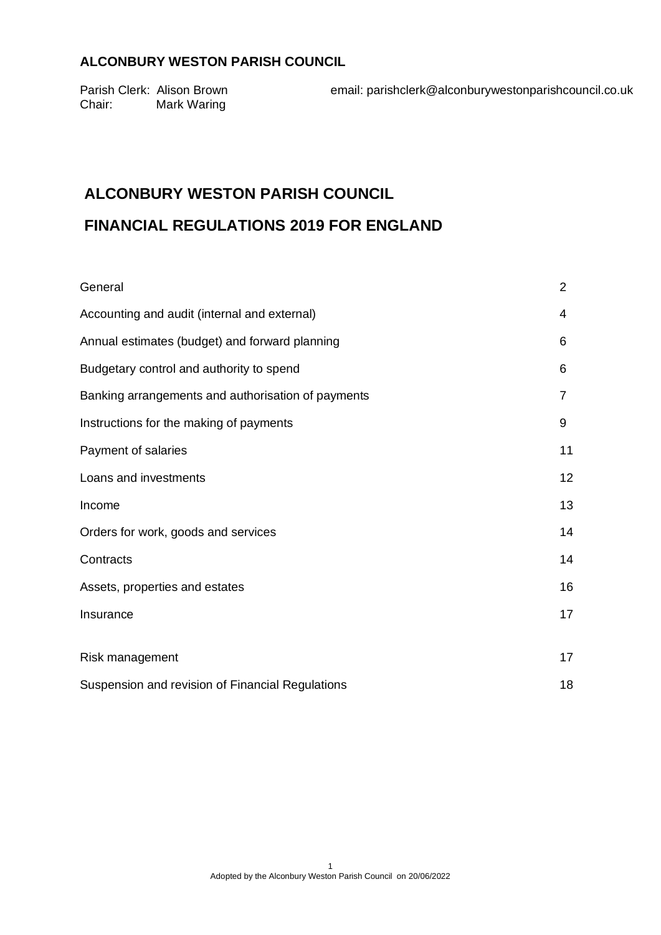Chair: Mark Waring

Parish Clerk: Alison Brown email: parishclerk@alconburywestonparishcouncil.co.uk

# **ALCONBURY WESTON PARISH COUNCIL**

# **FINANCIAL REGULATIONS 2019 FOR ENGLAND**

| General                                            | $\overline{2}$ |
|----------------------------------------------------|----------------|
| Accounting and audit (internal and external)       | 4              |
| Annual estimates (budget) and forward planning     | 6              |
| Budgetary control and authority to spend           | 6              |
| Banking arrangements and authorisation of payments | 7              |
| Instructions for the making of payments            | 9              |
| Payment of salaries                                | 11             |
| Loans and investments                              | 12             |
| Income                                             | 13             |
| Orders for work, goods and services                | 14             |
| Contracts                                          | 14             |
| Assets, properties and estates                     | 16             |
| Insurance                                          | 17             |
|                                                    |                |
| Risk management                                    | 17             |
| Suspension and revision of Financial Regulations   | 18             |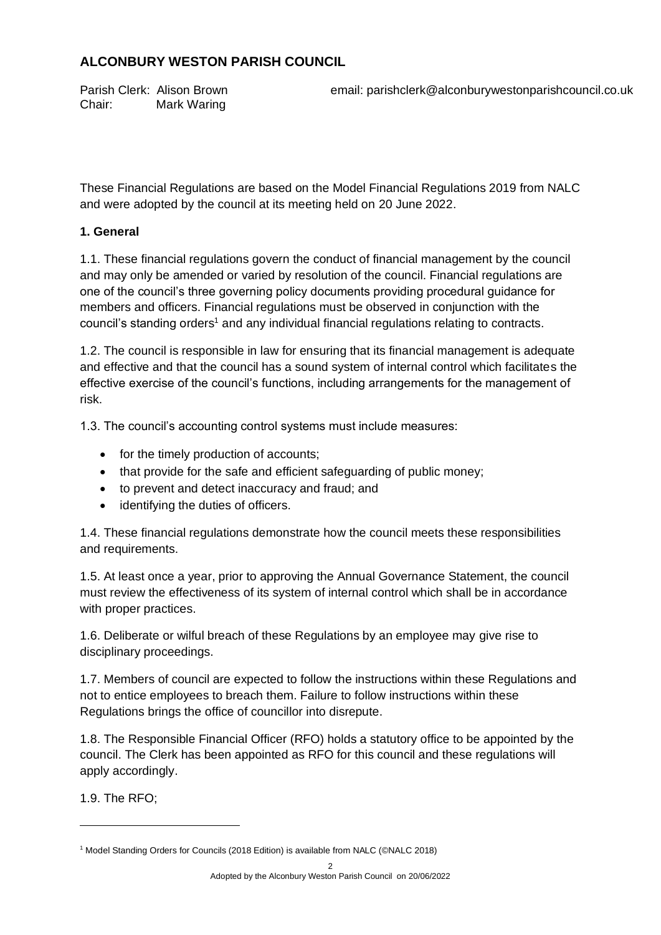Chair: Mark Waring

Parish Clerk: Alison Brown email: parishclerk@alconburywestonparishcouncil.co.uk

These Financial Regulations are based on the Model Financial Regulations 2019 from NALC and were adopted by the council at its meeting held on 20 June 2022.

## **1. General**

1.1. These financial regulations govern the conduct of financial management by the council and may only be amended or varied by resolution of the council. Financial regulations are one of the council's three governing policy documents providing procedural guidance for members and officers. Financial regulations must be observed in conjunction with the council's standing orders<sup>1</sup> and any individual financial regulations relating to contracts.

1.2. The council is responsible in law for ensuring that its financial management is adequate and effective and that the council has a sound system of internal control which facilitates the effective exercise of the council's functions, including arrangements for the management of risk.

1.3. The council's accounting control systems must include measures:

- for the timely production of accounts;
- that provide for the safe and efficient safeguarding of public money;
- to prevent and detect inaccuracy and fraud; and
- identifying the duties of officers.

1.4. These financial regulations demonstrate how the council meets these responsibilities and requirements.

1.5. At least once a year, prior to approving the Annual Governance Statement, the council must review the effectiveness of its system of internal control which shall be in accordance with proper practices.

1.6. Deliberate or wilful breach of these Regulations by an employee may give rise to disciplinary proceedings.

1.7. Members of council are expected to follow the instructions within these Regulations and not to entice employees to breach them. Failure to follow instructions within these Regulations brings the office of councillor into disrepute.

1.8. The Responsible Financial Officer (RFO) holds a statutory office to be appointed by the council. The Clerk has been appointed as RFO for this council and these regulations will apply accordingly.

1.9. The RFO;

<sup>&</sup>lt;sup>1</sup> Model Standing Orders for Councils (2018 Edition) is available from NALC (©NALC 2018)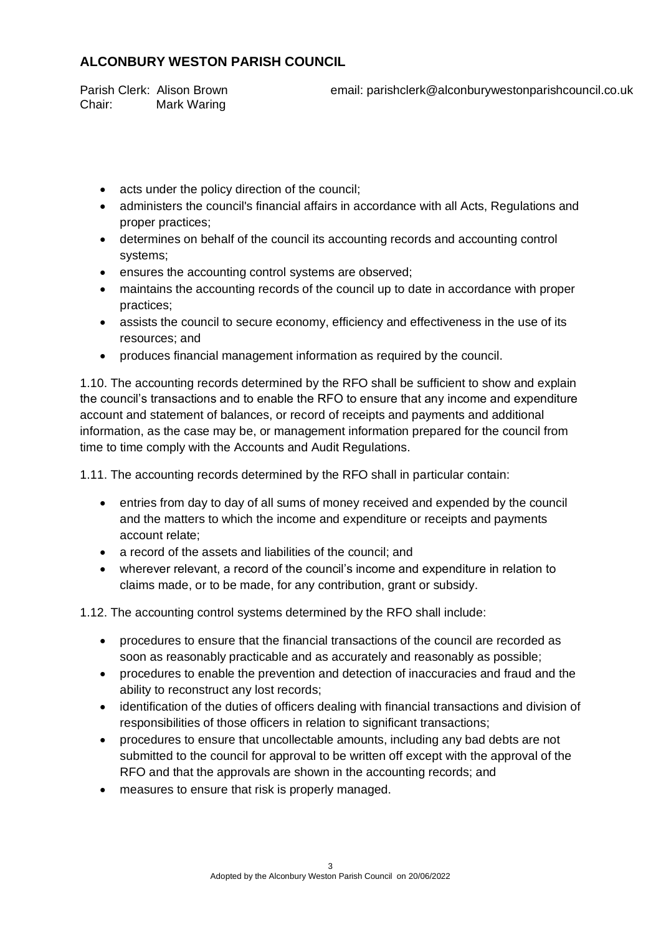Chair: Mark Waring

Parish Clerk: Alison Brown email: parishclerk@alconburywestonparishcouncil.co.uk

- acts under the policy direction of the council;
- administers the council's financial affairs in accordance with all Acts, Regulations and proper practices;
- determines on behalf of the council its accounting records and accounting control systems;
- ensures the accounting control systems are observed;
- maintains the accounting records of the council up to date in accordance with proper practices;
- assists the council to secure economy, efficiency and effectiveness in the use of its resources; and
- produces financial management information as required by the council.

1.10. The accounting records determined by the RFO shall be sufficient to show and explain the council's transactions and to enable the RFO to ensure that any income and expenditure account and statement of balances, or record of receipts and payments and additional information, as the case may be, or management information prepared for the council from time to time comply with the Accounts and Audit Regulations.

1.11. The accounting records determined by the RFO shall in particular contain:

- entries from day to day of all sums of money received and expended by the council and the matters to which the income and expenditure or receipts and payments account relate;
- a record of the assets and liabilities of the council; and
- wherever relevant, a record of the council's income and expenditure in relation to claims made, or to be made, for any contribution, grant or subsidy.

1.12. The accounting control systems determined by the RFO shall include:

- procedures to ensure that the financial transactions of the council are recorded as soon as reasonably practicable and as accurately and reasonably as possible;
- procedures to enable the prevention and detection of inaccuracies and fraud and the ability to reconstruct any lost records;
- identification of the duties of officers dealing with financial transactions and division of responsibilities of those officers in relation to significant transactions;
- procedures to ensure that uncollectable amounts, including any bad debts are not submitted to the council for approval to be written off except with the approval of the RFO and that the approvals are shown in the accounting records; and
- measures to ensure that risk is properly managed.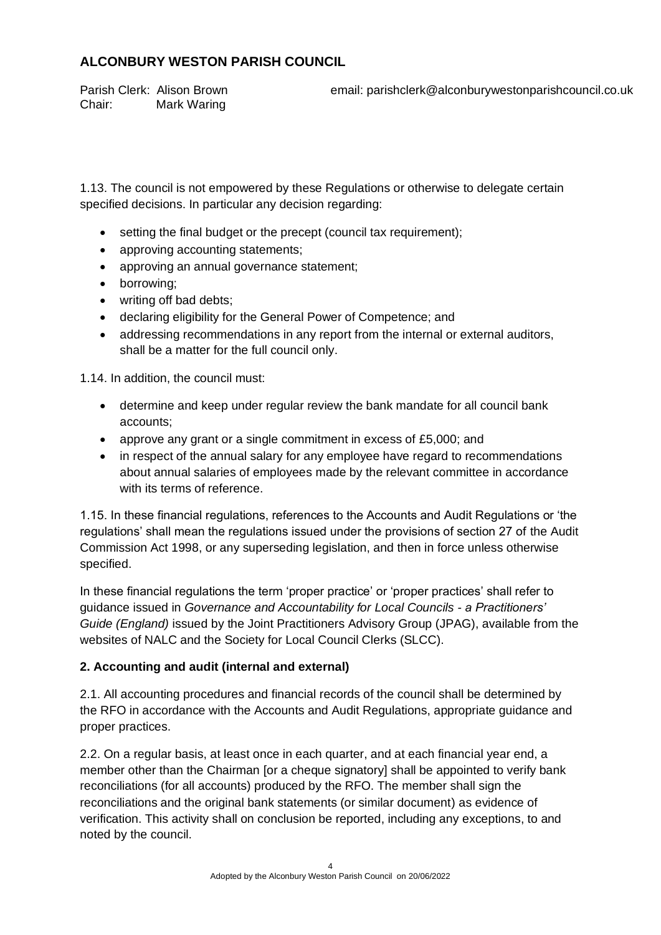Chair: Mark Waring

Parish Clerk: Alison Brown email: parishclerk@alconburywestonparishcouncil.co.uk

1.13. The council is not empowered by these Regulations or otherwise to delegate certain specified decisions. In particular any decision regarding:

- setting the final budget or the precept (council tax requirement);
- approving accounting statements;
- approving an annual governance statement;
- borrowing;
- writing off bad debts;
- declaring eligibility for the General Power of Competence; and
- addressing recommendations in any report from the internal or external auditors, shall be a matter for the full council only.

1.14. In addition, the council must:

- determine and keep under regular review the bank mandate for all council bank accounts;
- approve any grant or a single commitment in excess of £5,000; and
- in respect of the annual salary for any employee have regard to recommendations about annual salaries of employees made by the relevant committee in accordance with its terms of reference.

1.15. In these financial regulations, references to the Accounts and Audit Regulations or 'the regulations' shall mean the regulations issued under the provisions of section 27 of the Audit Commission Act 1998, or any superseding legislation, and then in force unless otherwise specified.

In these financial regulations the term 'proper practice' or 'proper practices' shall refer to guidance issued in *Governance and Accountability for Local Councils - a Practitioners' Guide (England)* issued by the Joint Practitioners Advisory Group (JPAG), available from the websites of NALC and the Society for Local Council Clerks (SLCC).

### **2. Accounting and audit (internal and external)**

2.1. All accounting procedures and financial records of the council shall be determined by the RFO in accordance with the Accounts and Audit Regulations, appropriate guidance and proper practices.

2.2. On a regular basis, at least once in each quarter, and at each financial year end, a member other than the Chairman [or a cheque signatory] shall be appointed to verify bank reconciliations (for all accounts) produced by the RFO. The member shall sign the reconciliations and the original bank statements (or similar document) as evidence of verification. This activity shall on conclusion be reported, including any exceptions, to and noted by the council.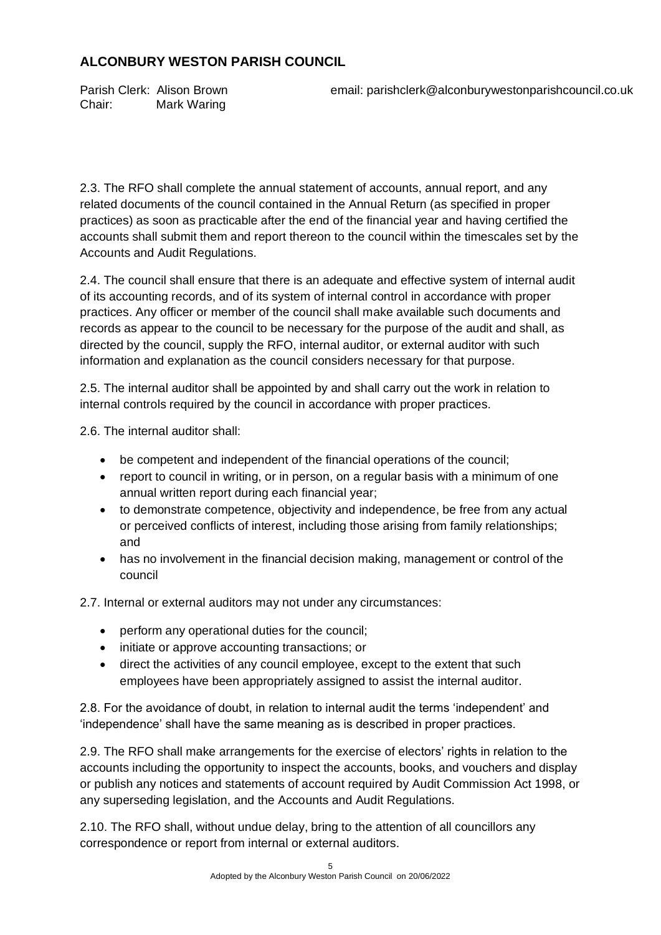Chair: Mark Waring

Parish Clerk: Alison Brown email: parishclerk@alconburywestonparishcouncil.co.uk

2.3. The RFO shall complete the annual statement of accounts, annual report, and any related documents of the council contained in the Annual Return (as specified in proper practices) as soon as practicable after the end of the financial year and having certified the accounts shall submit them and report thereon to the council within the timescales set by the Accounts and Audit Regulations.

2.4. The council shall ensure that there is an adequate and effective system of internal audit of its accounting records, and of its system of internal control in accordance with proper practices. Any officer or member of the council shall make available such documents and records as appear to the council to be necessary for the purpose of the audit and shall, as directed by the council, supply the RFO, internal auditor, or external auditor with such information and explanation as the council considers necessary for that purpose.

2.5. The internal auditor shall be appointed by and shall carry out the work in relation to internal controls required by the council in accordance with proper practices.

2.6. The internal auditor shall:

- be competent and independent of the financial operations of the council;
- report to council in writing, or in person, on a regular basis with a minimum of one annual written report during each financial year;
- to demonstrate competence, objectivity and independence, be free from any actual or perceived conflicts of interest, including those arising from family relationships; and
- has no involvement in the financial decision making, management or control of the council

2.7. Internal or external auditors may not under any circumstances:

- perform any operational duties for the council;
- initiate or approve accounting transactions; or
- direct the activities of any council employee, except to the extent that such employees have been appropriately assigned to assist the internal auditor.

2.8. For the avoidance of doubt, in relation to internal audit the terms 'independent' and 'independence' shall have the same meaning as is described in proper practices.

2.9. The RFO shall make arrangements for the exercise of electors' rights in relation to the accounts including the opportunity to inspect the accounts, books, and vouchers and display or publish any notices and statements of account required by Audit Commission Act 1998, or any superseding legislation, and the Accounts and Audit Regulations.

2.10. The RFO shall, without undue delay, bring to the attention of all councillors any correspondence or report from internal or external auditors.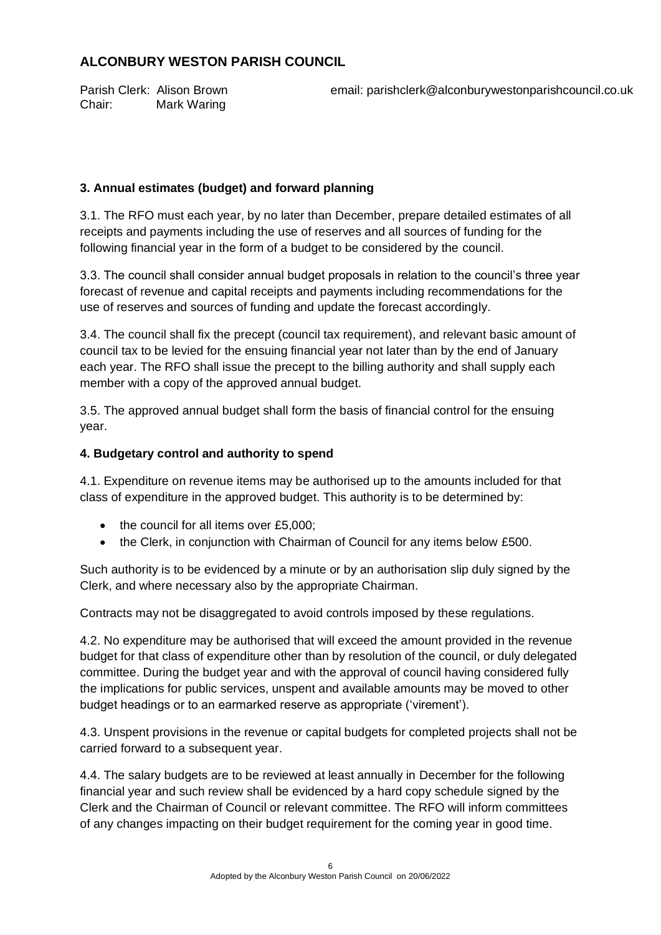Chair: Mark Waring

Parish Clerk: Alison Brown email: parishclerk@alconburywestonparishcouncil.co.uk

## **3. Annual estimates (budget) and forward planning**

3.1. The RFO must each year, by no later than December, prepare detailed estimates of all receipts and payments including the use of reserves and all sources of funding for the following financial year in the form of a budget to be considered by the council.

3.3. The council shall consider annual budget proposals in relation to the council's three year forecast of revenue and capital receipts and payments including recommendations for the use of reserves and sources of funding and update the forecast accordingly.

3.4. The council shall fix the precept (council tax requirement), and relevant basic amount of council tax to be levied for the ensuing financial year not later than by the end of January each year. The RFO shall issue the precept to the billing authority and shall supply each member with a copy of the approved annual budget.

3.5. The approved annual budget shall form the basis of financial control for the ensuing year.

### **4. Budgetary control and authority to spend**

4.1. Expenditure on revenue items may be authorised up to the amounts included for that class of expenditure in the approved budget. This authority is to be determined by:

- the council for all items over £5,000;
- the Clerk, in conjunction with Chairman of Council for any items below £500.

Such authority is to be evidenced by a minute or by an authorisation slip duly signed by the Clerk, and where necessary also by the appropriate Chairman.

Contracts may not be disaggregated to avoid controls imposed by these regulations.

4.2. No expenditure may be authorised that will exceed the amount provided in the revenue budget for that class of expenditure other than by resolution of the council, or duly delegated committee. During the budget year and with the approval of council having considered fully the implications for public services, unspent and available amounts may be moved to other budget headings or to an earmarked reserve as appropriate ('virement').

4.3. Unspent provisions in the revenue or capital budgets for completed projects shall not be carried forward to a subsequent year.

4.4. The salary budgets are to be reviewed at least annually in December for the following financial year and such review shall be evidenced by a hard copy schedule signed by the Clerk and the Chairman of Council or relevant committee. The RFO will inform committees of any changes impacting on their budget requirement for the coming year in good time.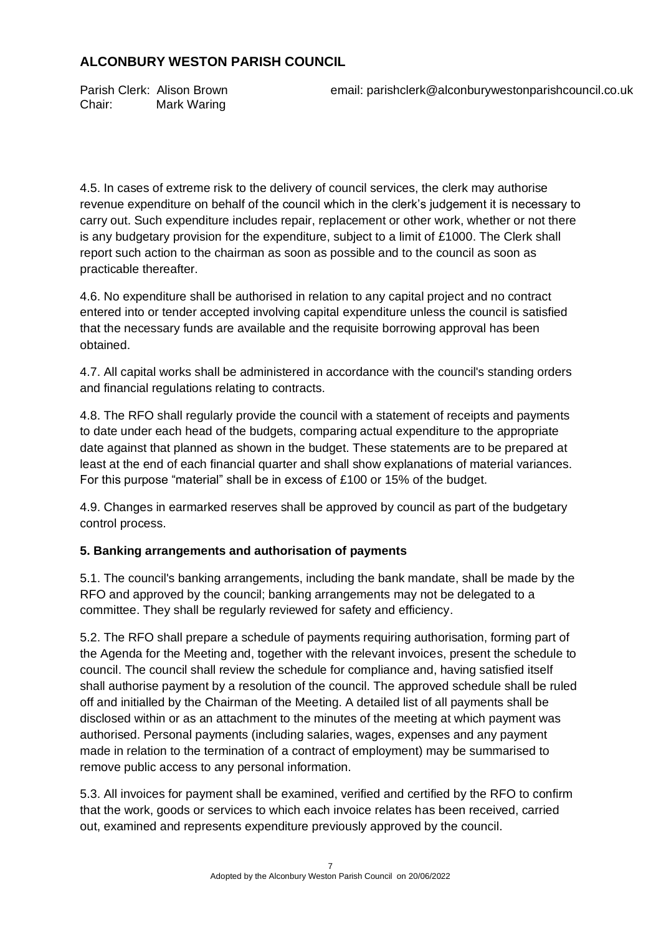Chair: Mark Waring

Parish Clerk: Alison Brown email: parishclerk@alconburywestonparishcouncil.co.uk

4.5. In cases of extreme risk to the delivery of council services, the clerk may authorise revenue expenditure on behalf of the council which in the clerk's judgement it is necessary to carry out. Such expenditure includes repair, replacement or other work, whether or not there is any budgetary provision for the expenditure, subject to a limit of  $£1000$ . The Clerk shall report such action to the chairman as soon as possible and to the council as soon as practicable thereafter.

4.6. No expenditure shall be authorised in relation to any capital project and no contract entered into or tender accepted involving capital expenditure unless the council is satisfied that the necessary funds are available and the requisite borrowing approval has been obtained.

4.7. All capital works shall be administered in accordance with the council's standing orders and financial regulations relating to contracts.

4.8. The RFO shall regularly provide the council with a statement of receipts and payments to date under each head of the budgets, comparing actual expenditure to the appropriate date against that planned as shown in the budget. These statements are to be prepared at least at the end of each financial quarter and shall show explanations of material variances. For this purpose "material" shall be in excess of £100 or 15% of the budget.

4.9. Changes in earmarked reserves shall be approved by council as part of the budgetary control process.

## **5. Banking arrangements and authorisation of payments**

5.1. The council's banking arrangements, including the bank mandate, shall be made by the RFO and approved by the council; banking arrangements may not be delegated to a committee. They shall be regularly reviewed for safety and efficiency.

5.2. The RFO shall prepare a schedule of payments requiring authorisation, forming part of the Agenda for the Meeting and, together with the relevant invoices, present the schedule to council. The council shall review the schedule for compliance and, having satisfied itself shall authorise payment by a resolution of the council. The approved schedule shall be ruled off and initialled by the Chairman of the Meeting. A detailed list of all payments shall be disclosed within or as an attachment to the minutes of the meeting at which payment was authorised. Personal payments (including salaries, wages, expenses and any payment made in relation to the termination of a contract of employment) may be summarised to remove public access to any personal information.

5.3. All invoices for payment shall be examined, verified and certified by the RFO to confirm that the work, goods or services to which each invoice relates has been received, carried out, examined and represents expenditure previously approved by the council.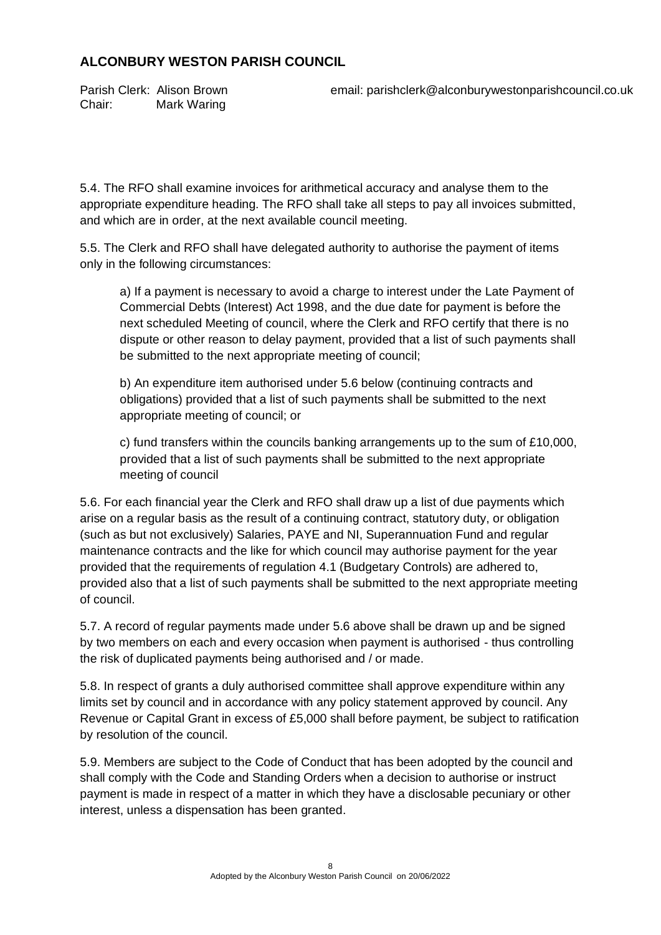Chair: Mark Waring

Parish Clerk: Alison Brown email: parishclerk@alconburywestonparishcouncil.co.uk

5.4. The RFO shall examine invoices for arithmetical accuracy and analyse them to the appropriate expenditure heading. The RFO shall take all steps to pay all invoices submitted, and which are in order, at the next available council meeting.

5.5. The Clerk and RFO shall have delegated authority to authorise the payment of items only in the following circumstances:

a) If a payment is necessary to avoid a charge to interest under the Late Payment of Commercial Debts (Interest) Act 1998, and the due date for payment is before the next scheduled Meeting of council, where the Clerk and RFO certify that there is no dispute or other reason to delay payment, provided that a list of such payments shall be submitted to the next appropriate meeting of council;

b) An expenditure item authorised under 5.6 below (continuing contracts and obligations) provided that a list of such payments shall be submitted to the next appropriate meeting of council; or

c) fund transfers within the councils banking arrangements up to the sum of £10,000, provided that a list of such payments shall be submitted to the next appropriate meeting of council

5.6. For each financial year the Clerk and RFO shall draw up a list of due payments which arise on a regular basis as the result of a continuing contract, statutory duty, or obligation (such as but not exclusively) Salaries, PAYE and NI, Superannuation Fund and regular maintenance contracts and the like for which council may authorise payment for the year provided that the requirements of regulation 4.1 (Budgetary Controls) are adhered to, provided also that a list of such payments shall be submitted to the next appropriate meeting of council.

5.7. A record of regular payments made under 5.6 above shall be drawn up and be signed by two members on each and every occasion when payment is authorised - thus controlling the risk of duplicated payments being authorised and / or made.

5.8. In respect of grants a duly authorised committee shall approve expenditure within any limits set by council and in accordance with any policy statement approved by council. Any Revenue or Capital Grant in excess of £5,000 shall before payment, be subject to ratification by resolution of the council.

5.9. Members are subject to the Code of Conduct that has been adopted by the council and shall comply with the Code and Standing Orders when a decision to authorise or instruct payment is made in respect of a matter in which they have a disclosable pecuniary or other interest, unless a dispensation has been granted.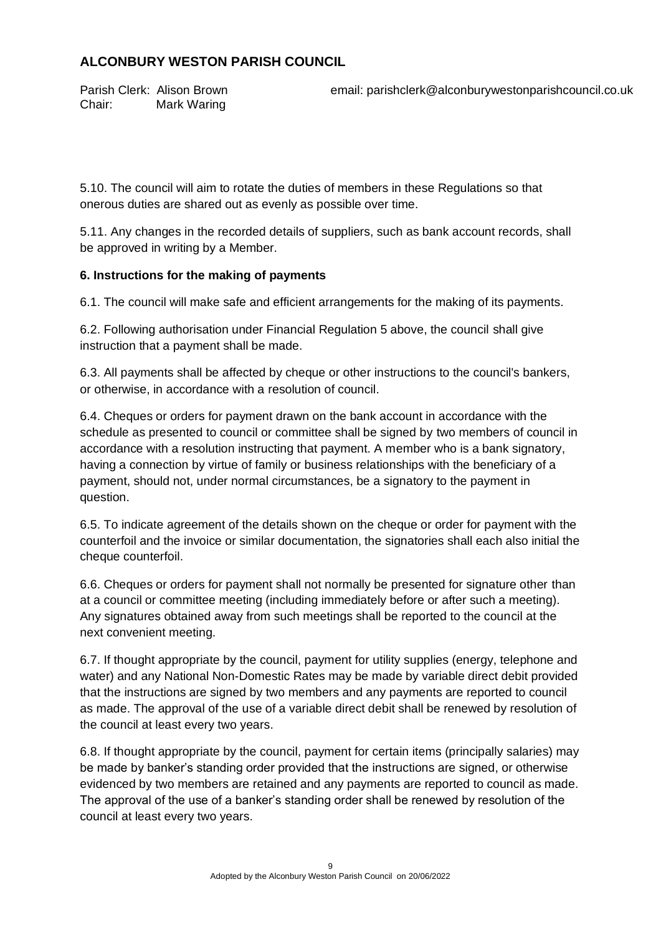Chair: Mark Waring

Parish Clerk: Alison Brown email: parishclerk@alconburywestonparishcouncil.co.uk

5.10. The council will aim to rotate the duties of members in these Regulations so that onerous duties are shared out as evenly as possible over time.

5.11. Any changes in the recorded details of suppliers, such as bank account records, shall be approved in writing by a Member.

### **6. Instructions for the making of payments**

6.1. The council will make safe and efficient arrangements for the making of its payments.

6.2. Following authorisation under Financial Regulation 5 above, the council shall give instruction that a payment shall be made.

6.3. All payments shall be affected by cheque or other instructions to the council's bankers, or otherwise, in accordance with a resolution of council.

6.4. Cheques or orders for payment drawn on the bank account in accordance with the schedule as presented to council or committee shall be signed by two members of council in accordance with a resolution instructing that payment. A member who is a bank signatory, having a connection by virtue of family or business relationships with the beneficiary of a payment, should not, under normal circumstances, be a signatory to the payment in question.

6.5. To indicate agreement of the details shown on the cheque or order for payment with the counterfoil and the invoice or similar documentation, the signatories shall each also initial the cheque counterfoil.

6.6. Cheques or orders for payment shall not normally be presented for signature other than at a council or committee meeting (including immediately before or after such a meeting). Any signatures obtained away from such meetings shall be reported to the council at the next convenient meeting.

6.7. If thought appropriate by the council, payment for utility supplies (energy, telephone and water) and any National Non-Domestic Rates may be made by variable direct debit provided that the instructions are signed by two members and any payments are reported to council as made. The approval of the use of a variable direct debit shall be renewed by resolution of the council at least every two years.

6.8. If thought appropriate by the council, payment for certain items (principally salaries) may be made by banker's standing order provided that the instructions are signed, or otherwise evidenced by two members are retained and any payments are reported to council as made. The approval of the use of a banker's standing order shall be renewed by resolution of the council at least every two years.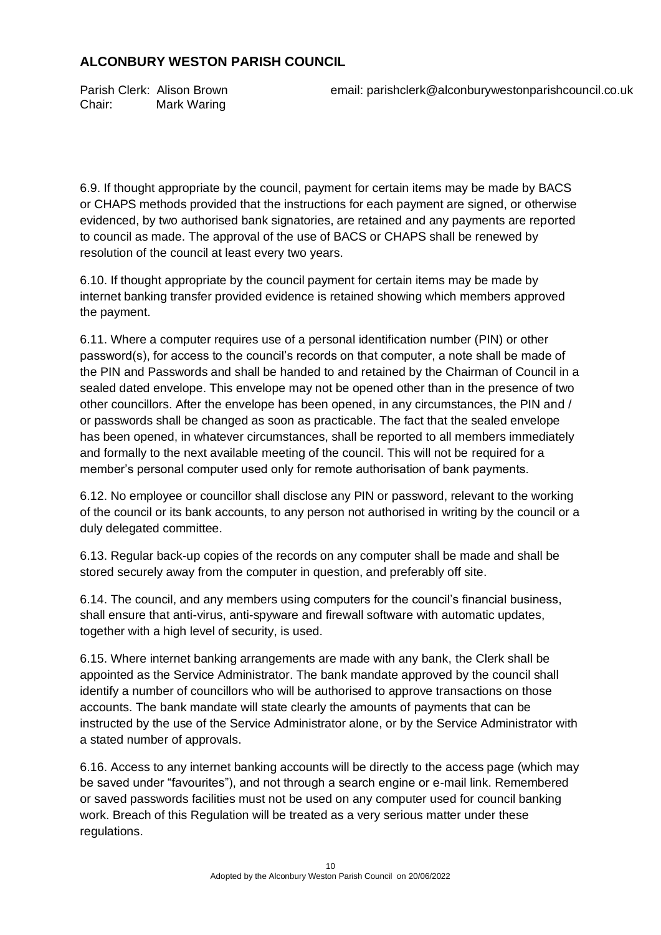Chair: Mark Waring

Parish Clerk: Alison Brown email: parishclerk@alconburywestonparishcouncil.co.uk

6.9. If thought appropriate by the council, payment for certain items may be made by BACS or CHAPS methods provided that the instructions for each payment are signed, or otherwise evidenced, by two authorised bank signatories, are retained and any payments are reported to council as made. The approval of the use of BACS or CHAPS shall be renewed by resolution of the council at least every two years.

6.10. If thought appropriate by the council payment for certain items may be made by internet banking transfer provided evidence is retained showing which members approved the payment.

6.11. Where a computer requires use of a personal identification number (PIN) or other password(s), for access to the council's records on that computer, a note shall be made of the PIN and Passwords and shall be handed to and retained by the Chairman of Council in a sealed dated envelope. This envelope may not be opened other than in the presence of two other councillors. After the envelope has been opened, in any circumstances, the PIN and / or passwords shall be changed as soon as practicable. The fact that the sealed envelope has been opened, in whatever circumstances, shall be reported to all members immediately and formally to the next available meeting of the council. This will not be required for a member's personal computer used only for remote authorisation of bank payments.

6.12. No employee or councillor shall disclose any PIN or password, relevant to the working of the council or its bank accounts, to any person not authorised in writing by the council or a duly delegated committee.

6.13. Regular back-up copies of the records on any computer shall be made and shall be stored securely away from the computer in question, and preferably off site.

6.14. The council, and any members using computers for the council's financial business, shall ensure that anti-virus, anti-spyware and firewall software with automatic updates, together with a high level of security, is used.

6.15. Where internet banking arrangements are made with any bank, the Clerk shall be appointed as the Service Administrator. The bank mandate approved by the council shall identify a number of councillors who will be authorised to approve transactions on those accounts. The bank mandate will state clearly the amounts of payments that can be instructed by the use of the Service Administrator alone, or by the Service Administrator with a stated number of approvals.

6.16. Access to any internet banking accounts will be directly to the access page (which may be saved under "favourites"), and not through a search engine or e-mail link. Remembered or saved passwords facilities must not be used on any computer used for council banking work. Breach of this Regulation will be treated as a very serious matter under these regulations.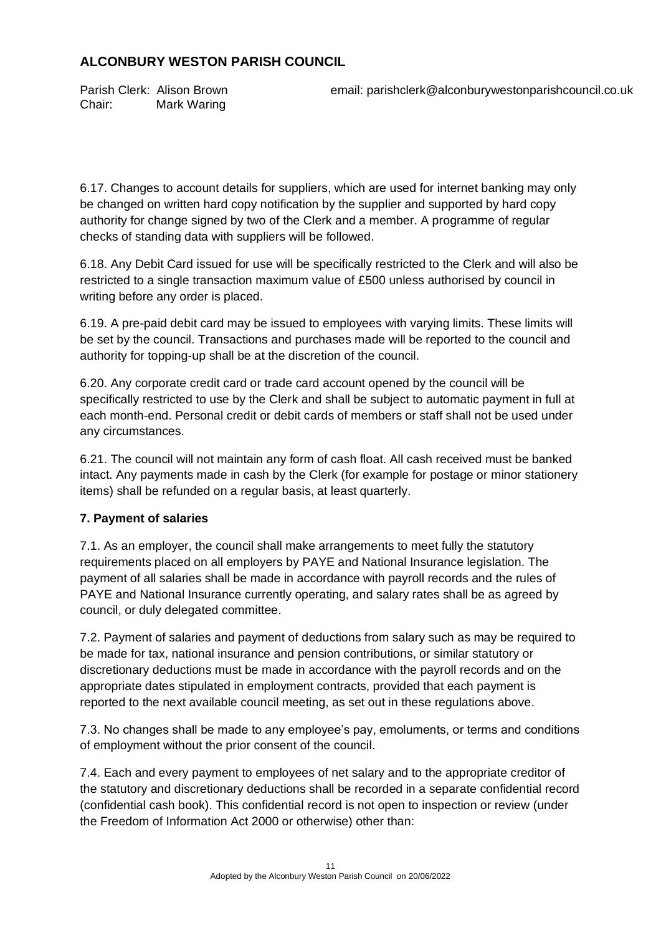Chair: Mark Waring

Parish Clerk: Alison Brown email: parishclerk@alconburywestonparishcouncil.co.uk

6.17. Changes to account details for suppliers, which are used for internet banking may only be changed on written hard copy notification by the supplier and supported by hard copy authority for change signed by two of the Clerk and a member. A programme of regular checks of standing data with suppliers will be followed.

6.18. Any Debit Card issued for use will be specifically restricted to the Clerk and will also be restricted to a single transaction maximum value of £500 unless authorised by council in writing before any order is placed.

6.19. A pre-paid debit card may be issued to employees with varying limits. These limits will be set by the council. Transactions and purchases made will be reported to the council and authority for topping-up shall be at the discretion of the council.

6.20. Any corporate credit card or trade card account opened by the council will be specifically restricted to use by the Clerk and shall be subject to automatic payment in full at each month-end. Personal credit or debit cards of members or staff shall not be used under any circumstances.

6.21. The council will not maintain any form of cash float. All cash received must be banked intact. Any payments made in cash by the Clerk (for example for postage or minor stationery items) shall be refunded on a regular basis, at least quarterly.

## **7. Payment of salaries**

7.1. As an employer, the council shall make arrangements to meet fully the statutory requirements placed on all employers by PAYE and National Insurance legislation. The payment of all salaries shall be made in accordance with payroll records and the rules of PAYE and National Insurance currently operating, and salary rates shall be as agreed by council, or duly delegated committee.

7.2. Payment of salaries and payment of deductions from salary such as may be required to be made for tax, national insurance and pension contributions, or similar statutory or discretionary deductions must be made in accordance with the payroll records and on the appropriate dates stipulated in employment contracts, provided that each payment is reported to the next available council meeting, as set out in these regulations above.

7.3. No changes shall be made to any employee's pay, emoluments, or terms and conditions of employment without the prior consent of the council.

7.4. Each and every payment to employees of net salary and to the appropriate creditor of the statutory and discretionary deductions shall be recorded in a separate confidential record (confidential cash book). This confidential record is not open to inspection or review (under the Freedom of Information Act 2000 or otherwise) other than: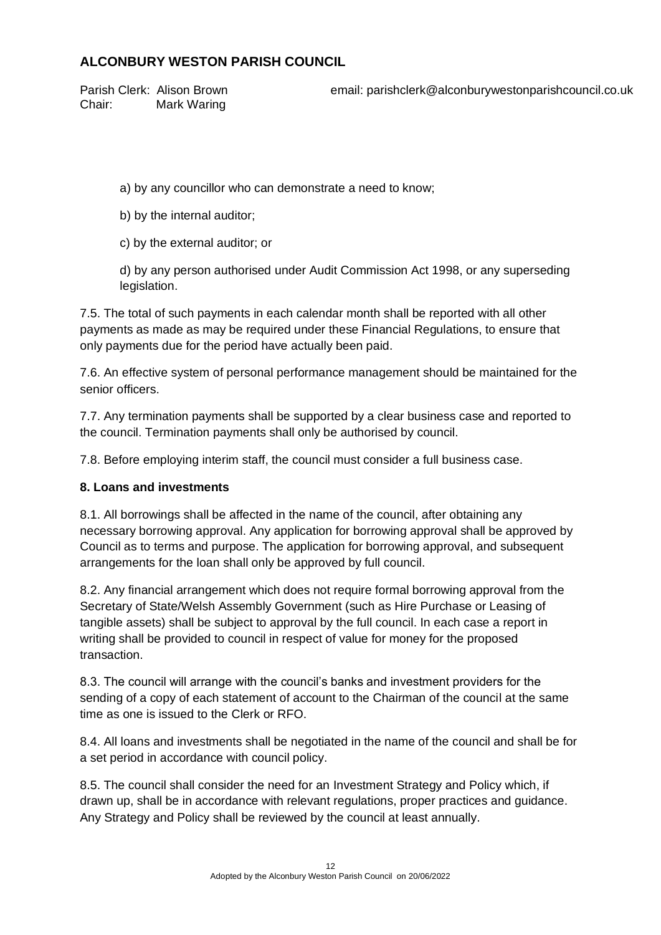Chair: Mark Waring

Parish Clerk: Alison Brown email: parishclerk@alconburywestonparishcouncil.co.uk

a) by any councillor who can demonstrate a need to know;

b) by the internal auditor;

c) by the external auditor; or

d) by any person authorised under Audit Commission Act 1998, or any superseding legislation.

7.5. The total of such payments in each calendar month shall be reported with all other payments as made as may be required under these Financial Regulations, to ensure that only payments due for the period have actually been paid.

7.6. An effective system of personal performance management should be maintained for the senior officers.

7.7. Any termination payments shall be supported by a clear business case and reported to the council. Termination payments shall only be authorised by council.

7.8. Before employing interim staff, the council must consider a full business case.

### **8. Loans and investments**

8.1. All borrowings shall be affected in the name of the council, after obtaining any necessary borrowing approval. Any application for borrowing approval shall be approved by Council as to terms and purpose. The application for borrowing approval, and subsequent arrangements for the loan shall only be approved by full council.

8.2. Any financial arrangement which does not require formal borrowing approval from the Secretary of State/Welsh Assembly Government (such as Hire Purchase or Leasing of tangible assets) shall be subject to approval by the full council. In each case a report in writing shall be provided to council in respect of value for money for the proposed transaction.

8.3. The council will arrange with the council's banks and investment providers for the sending of a copy of each statement of account to the Chairman of the council at the same time as one is issued to the Clerk or RFO.

8.4. All loans and investments shall be negotiated in the name of the council and shall be for a set period in accordance with council policy.

8.5. The council shall consider the need for an Investment Strategy and Policy which, if drawn up, shall be in accordance with relevant regulations, proper practices and guidance. Any Strategy and Policy shall be reviewed by the council at least annually.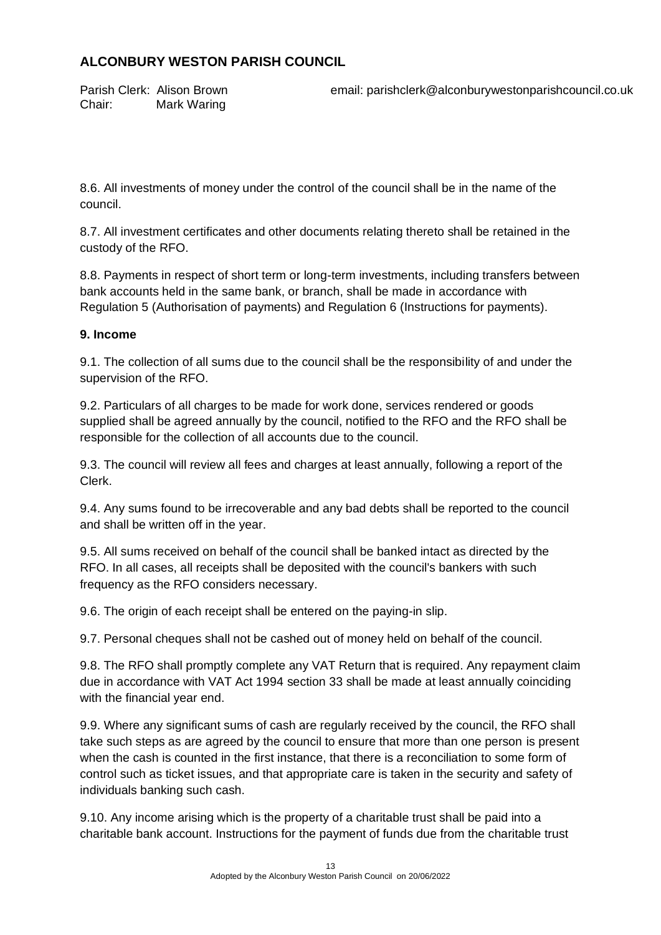Chair: Mark Waring

Parish Clerk: Alison Brown email: parishclerk@alconburywestonparishcouncil.co.uk

8.6. All investments of money under the control of the council shall be in the name of the council.

8.7. All investment certificates and other documents relating thereto shall be retained in the custody of the RFO.

8.8. Payments in respect of short term or long-term investments, including transfers between bank accounts held in the same bank, or branch, shall be made in accordance with Regulation 5 (Authorisation of payments) and Regulation 6 (Instructions for payments).

### **9. Income**

9.1. The collection of all sums due to the council shall be the responsibility of and under the supervision of the RFO.

9.2. Particulars of all charges to be made for work done, services rendered or goods supplied shall be agreed annually by the council, notified to the RFO and the RFO shall be responsible for the collection of all accounts due to the council.

9.3. The council will review all fees and charges at least annually, following a report of the Clerk.

9.4. Any sums found to be irrecoverable and any bad debts shall be reported to the council and shall be written off in the year.

9.5. All sums received on behalf of the council shall be banked intact as directed by the RFO. In all cases, all receipts shall be deposited with the council's bankers with such frequency as the RFO considers necessary.

9.6. The origin of each receipt shall be entered on the paying-in slip.

9.7. Personal cheques shall not be cashed out of money held on behalf of the council.

9.8. The RFO shall promptly complete any VAT Return that is required. Any repayment claim due in accordance with VAT Act 1994 section 33 shall be made at least annually coinciding with the financial year end.

9.9. Where any significant sums of cash are regularly received by the council, the RFO shall take such steps as are agreed by the council to ensure that more than one person is present when the cash is counted in the first instance, that there is a reconciliation to some form of control such as ticket issues, and that appropriate care is taken in the security and safety of individuals banking such cash.

9.10. Any income arising which is the property of a charitable trust shall be paid into a charitable bank account. Instructions for the payment of funds due from the charitable trust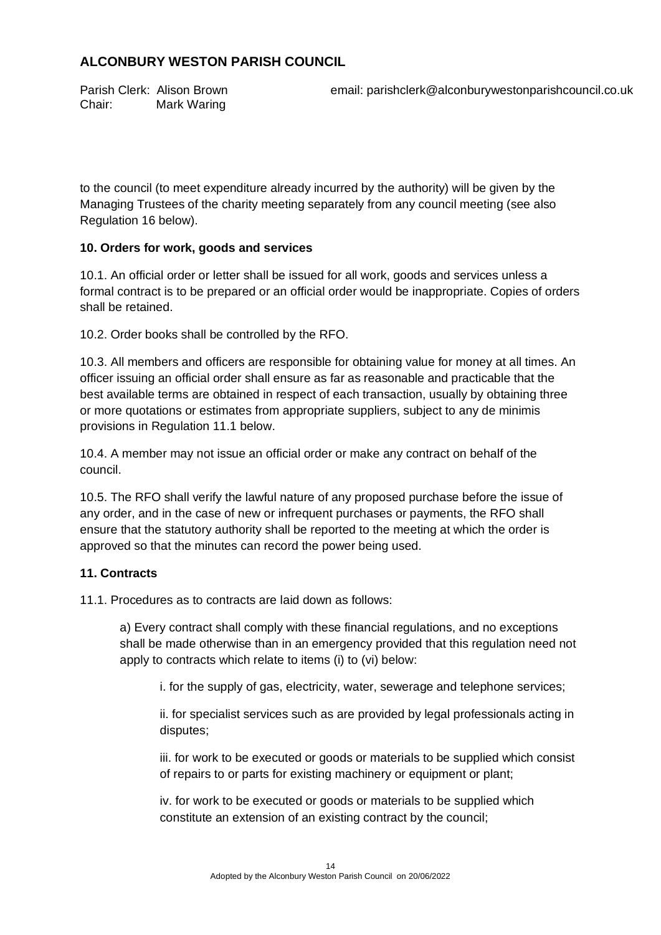Chair: Mark Waring

Parish Clerk: Alison Brown email: parishclerk@alconburywestonparishcouncil.co.uk

to the council (to meet expenditure already incurred by the authority) will be given by the Managing Trustees of the charity meeting separately from any council meeting (see also Regulation 16 below).

### **10. Orders for work, goods and services**

10.1. An official order or letter shall be issued for all work, goods and services unless a formal contract is to be prepared or an official order would be inappropriate. Copies of orders shall be retained.

10.2. Order books shall be controlled by the RFO.

10.3. All members and officers are responsible for obtaining value for money at all times. An officer issuing an official order shall ensure as far as reasonable and practicable that the best available terms are obtained in respect of each transaction, usually by obtaining three or more quotations or estimates from appropriate suppliers, subject to any de minimis provisions in Regulation 11.1 below.

10.4. A member may not issue an official order or make any contract on behalf of the council.

10.5. The RFO shall verify the lawful nature of any proposed purchase before the issue of any order, and in the case of new or infrequent purchases or payments, the RFO shall ensure that the statutory authority shall be reported to the meeting at which the order is approved so that the minutes can record the power being used.

### **11. Contracts**

11.1. Procedures as to contracts are laid down as follows:

a) Every contract shall comply with these financial regulations, and no exceptions shall be made otherwise than in an emergency provided that this regulation need not apply to contracts which relate to items (i) to (vi) below:

i. for the supply of gas, electricity, water, sewerage and telephone services;

ii. for specialist services such as are provided by legal professionals acting in disputes;

iii. for work to be executed or goods or materials to be supplied which consist of repairs to or parts for existing machinery or equipment or plant;

iv. for work to be executed or goods or materials to be supplied which constitute an extension of an existing contract by the council;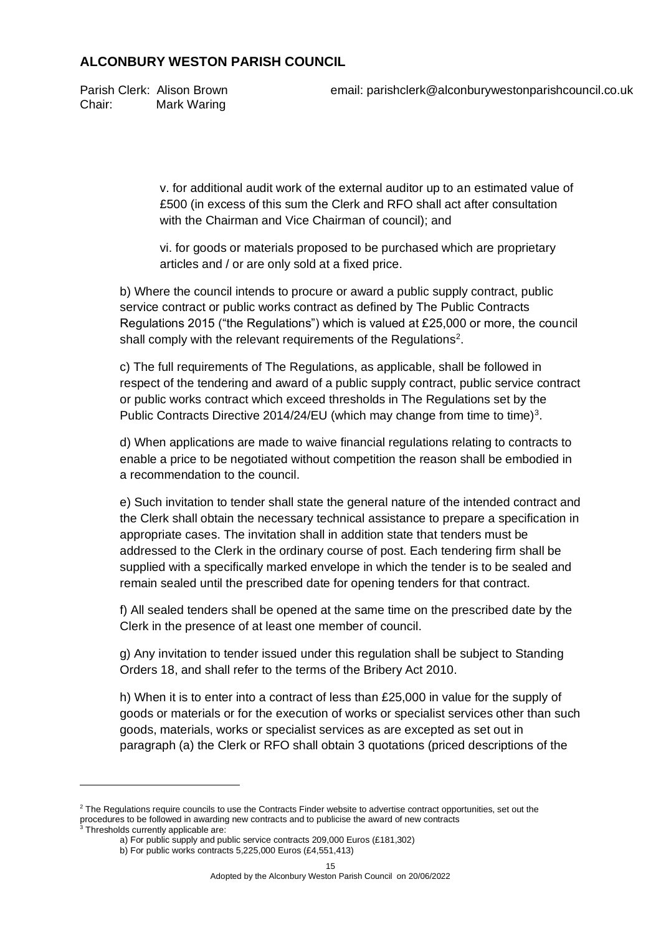Chair: Mark Waring

Parish Clerk: Alison Brown email: parishclerk@alconburywestonparishcouncil.co.uk

v. for additional audit work of the external auditor up to an estimated value of £500 (in excess of this sum the Clerk and RFO shall act after consultation with the Chairman and Vice Chairman of council); and

vi. for goods or materials proposed to be purchased which are proprietary articles and / or are only sold at a fixed price.

b) Where the council intends to procure or award a public supply contract, public service contract or public works contract as defined by The Public Contracts Regulations 2015 ("the Regulations") which is valued at £25,000 or more, the council shall comply with the relevant requirements of the Regulations<sup>2</sup>.

c) The full requirements of The Regulations, as applicable, shall be followed in respect of the tendering and award of a public supply contract, public service contract or public works contract which exceed thresholds in The Regulations set by the Public Contracts Directive 2014/24/EU (which may change from time to time)<sup>3</sup>.

d) When applications are made to waive financial regulations relating to contracts to enable a price to be negotiated without competition the reason shall be embodied in a recommendation to the council.

e) Such invitation to tender shall state the general nature of the intended contract and the Clerk shall obtain the necessary technical assistance to prepare a specification in appropriate cases. The invitation shall in addition state that tenders must be addressed to the Clerk in the ordinary course of post. Each tendering firm shall be supplied with a specifically marked envelope in which the tender is to be sealed and remain sealed until the prescribed date for opening tenders for that contract.

f) All sealed tenders shall be opened at the same time on the prescribed date by the Clerk in the presence of at least one member of council.

g) Any invitation to tender issued under this regulation shall be subject to Standing Orders 18, and shall refer to the terms of the Bribery Act 2010.

h) When it is to enter into a contract of less than £25,000 in value for the supply of goods or materials or for the execution of works or specialist services other than such goods, materials, works or specialist services as are excepted as set out in paragraph (a) the Clerk or RFO shall obtain 3 quotations (priced descriptions of the

<sup>&</sup>lt;sup>2</sup> The Regulations require councils to use the Contracts Finder website to advertise contract opportunities, set out the procedures to be followed in awarding new contracts and to publicise the award of new contracts

<sup>&</sup>lt;sup>3</sup> Thresholds currently applicable are:

a) For public supply and public service contracts 209,000 Euros (£181,302)

b) For public works contracts 5,225,000 Euros (£4,551,413)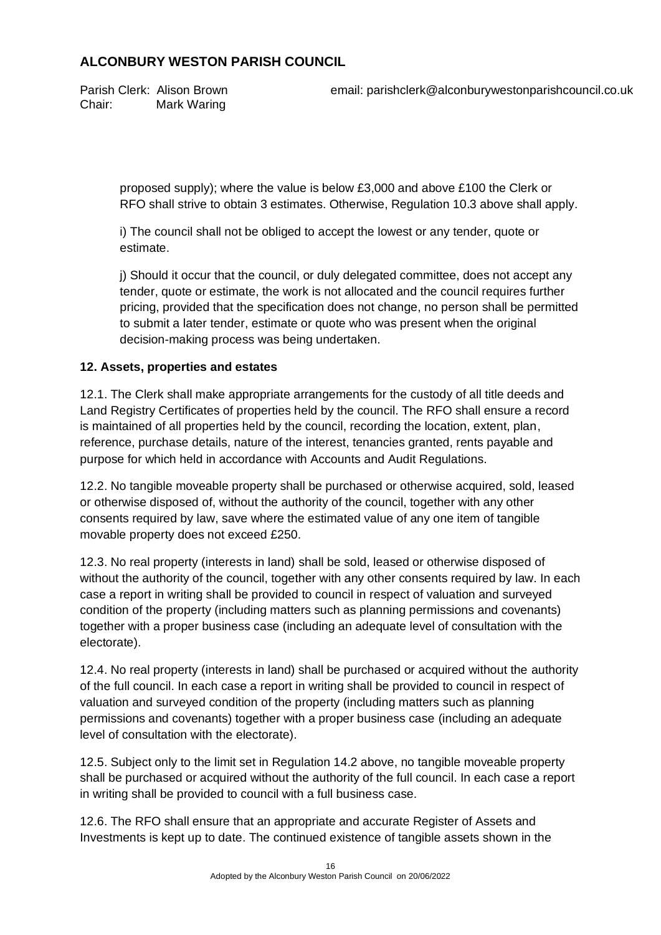Chair: Mark Waring

Parish Clerk: Alison Brown email: parishclerk@alconburywestonparishcouncil.co.uk

proposed supply); where the value is below £3,000 and above £100 the Clerk or RFO shall strive to obtain 3 estimates. Otherwise, Regulation 10.3 above shall apply.

i) The council shall not be obliged to accept the lowest or any tender, quote or estimate.

j) Should it occur that the council, or duly delegated committee, does not accept any tender, quote or estimate, the work is not allocated and the council requires further pricing, provided that the specification does not change, no person shall be permitted to submit a later tender, estimate or quote who was present when the original decision-making process was being undertaken.

### **12. Assets, properties and estates**

12.1. The Clerk shall make appropriate arrangements for the custody of all title deeds and Land Registry Certificates of properties held by the council. The RFO shall ensure a record is maintained of all properties held by the council, recording the location, extent, plan, reference, purchase details, nature of the interest, tenancies granted, rents payable and purpose for which held in accordance with Accounts and Audit Regulations.

12.2. No tangible moveable property shall be purchased or otherwise acquired, sold, leased or otherwise disposed of, without the authority of the council, together with any other consents required by law, save where the estimated value of any one item of tangible movable property does not exceed £250.

12.3. No real property (interests in land) shall be sold, leased or otherwise disposed of without the authority of the council, together with any other consents required by law. In each case a report in writing shall be provided to council in respect of valuation and surveyed condition of the property (including matters such as planning permissions and covenants) together with a proper business case (including an adequate level of consultation with the electorate).

12.4. No real property (interests in land) shall be purchased or acquired without the authority of the full council. In each case a report in writing shall be provided to council in respect of valuation and surveyed condition of the property (including matters such as planning permissions and covenants) together with a proper business case (including an adequate level of consultation with the electorate).

12.5. Subject only to the limit set in Regulation 14.2 above, no tangible moveable property shall be purchased or acquired without the authority of the full council. In each case a report in writing shall be provided to council with a full business case.

12.6. The RFO shall ensure that an appropriate and accurate Register of Assets and Investments is kept up to date. The continued existence of tangible assets shown in the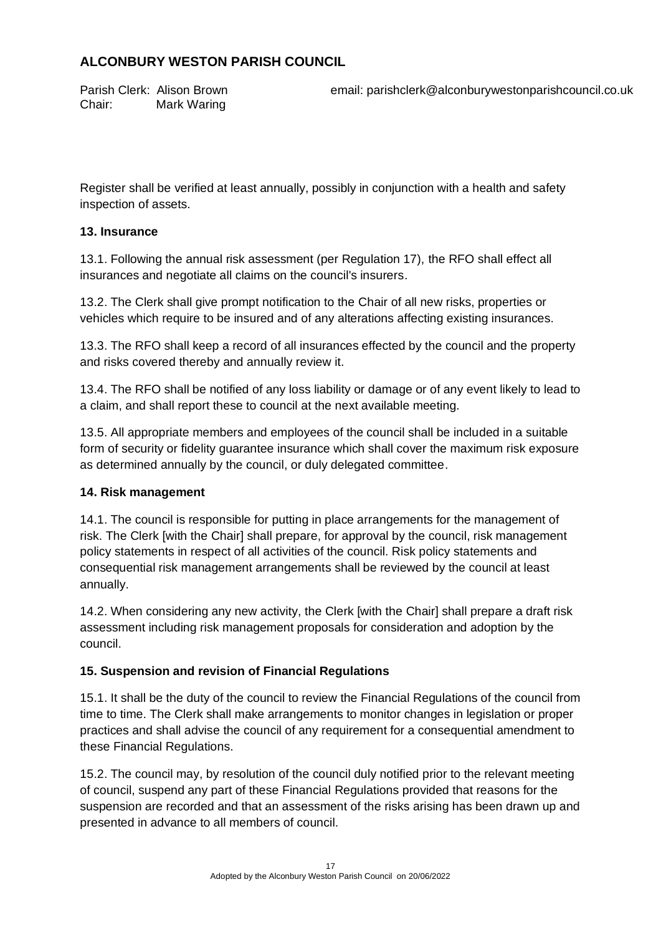Chair: Mark Waring

Parish Clerk: Alison Brown email: parishclerk@alconburywestonparishcouncil.co.uk

Register shall be verified at least annually, possibly in conjunction with a health and safety inspection of assets.

## **13. Insurance**

13.1. Following the annual risk assessment (per Regulation 17), the RFO shall effect all insurances and negotiate all claims on the council's insurers.

13.2. The Clerk shall give prompt notification to the Chair of all new risks, properties or vehicles which require to be insured and of any alterations affecting existing insurances.

13.3. The RFO shall keep a record of all insurances effected by the council and the property and risks covered thereby and annually review it.

13.4. The RFO shall be notified of any loss liability or damage or of any event likely to lead to a claim, and shall report these to council at the next available meeting.

13.5. All appropriate members and employees of the council shall be included in a suitable form of security or fidelity guarantee insurance which shall cover the maximum risk exposure as determined annually by the council, or duly delegated committee.

### **14. Risk management**

14.1. The council is responsible for putting in place arrangements for the management of risk. The Clerk [with the Chair] shall prepare, for approval by the council, risk management policy statements in respect of all activities of the council. Risk policy statements and consequential risk management arrangements shall be reviewed by the council at least annually.

14.2. When considering any new activity, the Clerk [with the Chair] shall prepare a draft risk assessment including risk management proposals for consideration and adoption by the council.

## **15. Suspension and revision of Financial Regulations**

15.1. It shall be the duty of the council to review the Financial Regulations of the council from time to time. The Clerk shall make arrangements to monitor changes in legislation or proper practices and shall advise the council of any requirement for a consequential amendment to these Financial Regulations.

15.2. The council may, by resolution of the council duly notified prior to the relevant meeting of council, suspend any part of these Financial Regulations provided that reasons for the suspension are recorded and that an assessment of the risks arising has been drawn up and presented in advance to all members of council.